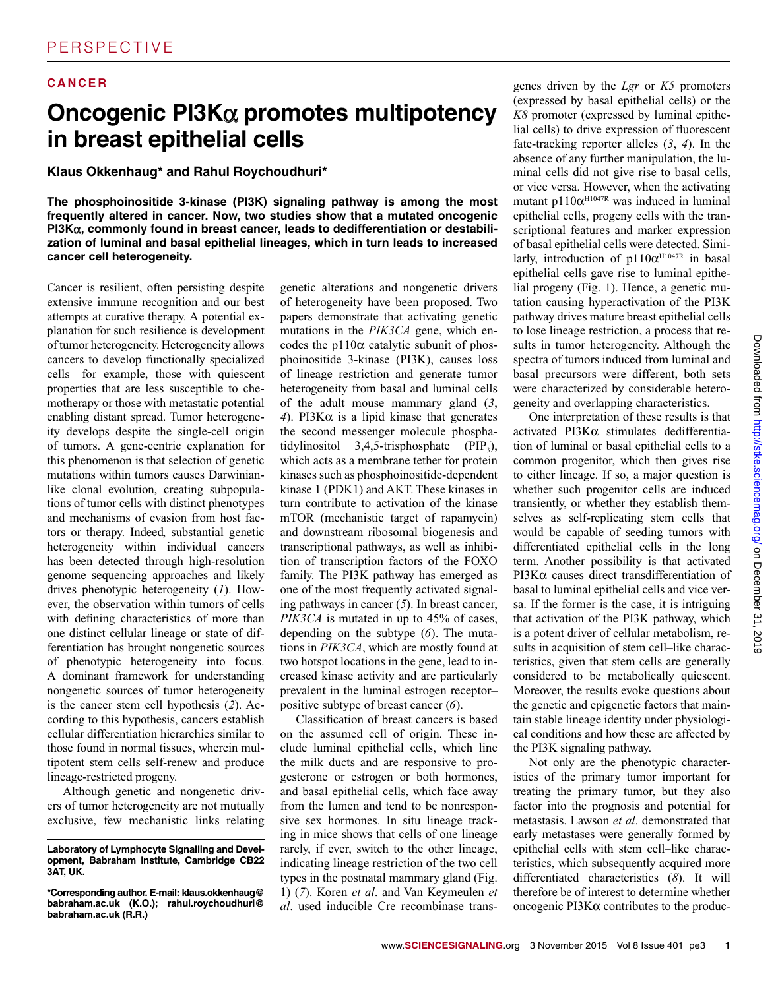## **CAN C E R**

## **Oncogenic PI3K**α **promotes multipotency in breast epithelial cells**

### **Klaus Okkenhaug\* and Rahul Roychoudhuri\***

**The phosphoinositide 3-kinase (PI3K) signaling pathway is among the most frequently altered in cancer. Now, two studies show that a mutated oncogenic PI3K**α**, commonly found in breast cancer, leads to dedifferentiation or destabilization of luminal and basal epithelial lineages, which in turn leads to increased cancer cell heterogeneity.**

 Cancer is resilient, often persisting despite extensive immune recognition and our best attempts at curative therapy. A potential explanation for such resilience is development of tumor heterogeneity. Heterogeneity allows cancers to develop functionally specialized cells—for example, those with quiescent properties that are less susceptible to chemotherapy or those with metastatic potential enabling distant spread. Tumor heterogeneity develops despite the single-cell origin of tumors. A gene-centric explanation for this phenomenon is that selection of genetic mutations within tumors causes Darwinianlike clonal evolution, creating subpopulations of tumor cells with distinct phenotypes and mechanisms of evasion from host factors or therapy. Indeed, substantial genetic heterogeneity within individual cancers has been detected through high-resolution genome sequencing approaches and likely drives phenotypic heterogeneity (*1*). However, the observation within tumors of cells with defining characteristics of more than one distinct cellular lineage or state of differentiation has brought nongenetic sources of phenotypic heterogeneity into focus. A dominant framework for understanding nongenetic sources of tumor heterogeneity is the cancer stem cell hypothesis (*2*). According to this hypothesis, cancers establish cellular differentiation hierarchies similar to those found in normal tissues, wherein multipotent stem cells self-renew and produce lineage-restricted progeny.

Although genetic and nongenetic drivers of tumor heterogeneity are not mutually exclusive, few mechanistic links relating

genetic alterations and nongenetic drivers of heterogeneity have been proposed. Two papers demonstrate that activating genetic mutations in the *PIK3CA* gene, which encodes the p110 $\alpha$  catalytic subunit of phosphoinositide 3-kinase (PI3K), causes loss of lineage restriction and generate tumor heterogeneity from basal and luminal cells of the adult mouse mammary gland (*3*, *4*). PI3Kα is a lipid kinase that generates the second messenger molecule phosphatidylinositol  $3,4,5$ -trisphosphate (PIP<sub>3</sub>), which acts as a membrane tether for protein kinases such as phosphoinositide-dependent kinase 1 (PDK1) and AKT. These kinases in turn contribute to activation of the kinase mTOR (mechanistic target of rapamycin) and downstream ribosomal biogenesis and transcriptional pathways, as well as inhibition of transcription factors of the FOXO family. The PI3K pathway has emerged as one of the most frequently activated signaling pathways in cancer (*5*). In breast cancer, *PIK3CA* is mutated in up to 45% of cases, depending on the subtype (6). The mutations in *PIK3CA*, which are mostly found at two hotspot locations in the gene, lead to increased kinase activity and are particularly prevalent in the luminal estrogen receptor– positive subtype of breast cancer (*6* ).

Classification of breast cancers is based on the assumed cell of origin. These include luminal epithelial cells, which line the milk ducts and are responsive to progesterone or estrogen or both hormones, and basal epithelial cells, which face away from the lumen and tend to be nonresponsive sex hormones. In situ lineage tracking in mice shows that cells of one lineage rarely, if ever, switch to the other lineage, indicating lineage restriction of the two cell types in the postnatal mammary gland (Fig. 1) (*7*). Koren *et al*. and Van Keymeulen *et al*. used inducible Cre recombinase trans-

genes driven by the *Lgr* or *K5* promoters (expressed by basal epithelial cells) or the *K8* promoter (expressed by luminal epithelial cells) to drive expression of fluorescent fate-tracking reporter alleles (*3*, *4*). In the absence of any further manipulation, the luminal cells did not give rise to basal cells, or vice versa. However, when the activating mutant  $p110\alpha^{H1047R}$  was induced in luminal epithelial cells, progeny cells with the transcriptional features and marker expression of basal epithelial cells were detected. Similarly, introduction of p110 $\alpha$ <sup>H1047R</sup> in basal epithelial cells gave rise to luminal epithelial progeny (Fig. 1). Hence, a genetic mutation causing hyperactivation of the PI3K pathway drives mature breast epithelial cells to lose lineage restriction, a process that results in tumor heterogeneity. Although the spectra of tumors induced from luminal and basal precursors were different, both sets were characterized by considerable heterogeneity and overlapping characteristics.

One interpretation of these results is that activated PI3Kα stimulates dedifferentiation of luminal or basal epithelial cells to a common progenitor, which then gives rise to either lineage. If so, a major question is whether such progenitor cells are induced transiently, or whether they establish themselves as self-replicating stem cells that would be capable of seeding tumors with differentiated epithelial cells in the long term. Another possibility is that activated PI3Kα causes direct transdifferentiation of basal to luminal epithelial cells and vice versa. If the former is the case, it is intriguing that activation of the PI3K pathway, which is a potent driver of cellular metabolism, results in acquisition of stem cell–like characteristics, given that stem cells are generally considered to be metabolically quiescent. Moreover, the results evoke questions about the genetic and epigenetic factors that maintain stable lineage identity under physiological conditions and how these are affected by the PI3K signaling pathway.

Not only are the phenotypic characteristics of the primary tumor important for treating the primary tumor, but they also factor into the prognosis and potential for metastasis. Lawson *et al*. demonstrated that early metastases were generally formed by epithelial cells with stem cell–like characteristics, which subsequently acquired more differentiated characteristics (*8*). It will therefore be of interest to determine whether oncogenic PI3Kα contributes to the produc-

**Laboratory of Lymphocyte Signalling and Development, Babraham Institute, Cambridge CB22 3AT, UK.**

**<sup>\*</sup>Corresponding author. E-mail: klaus.okkenhaug@ babraham.ac.uk (K.O.); rahul.roychoudhuri@ babraham.ac.uk (R.R.)**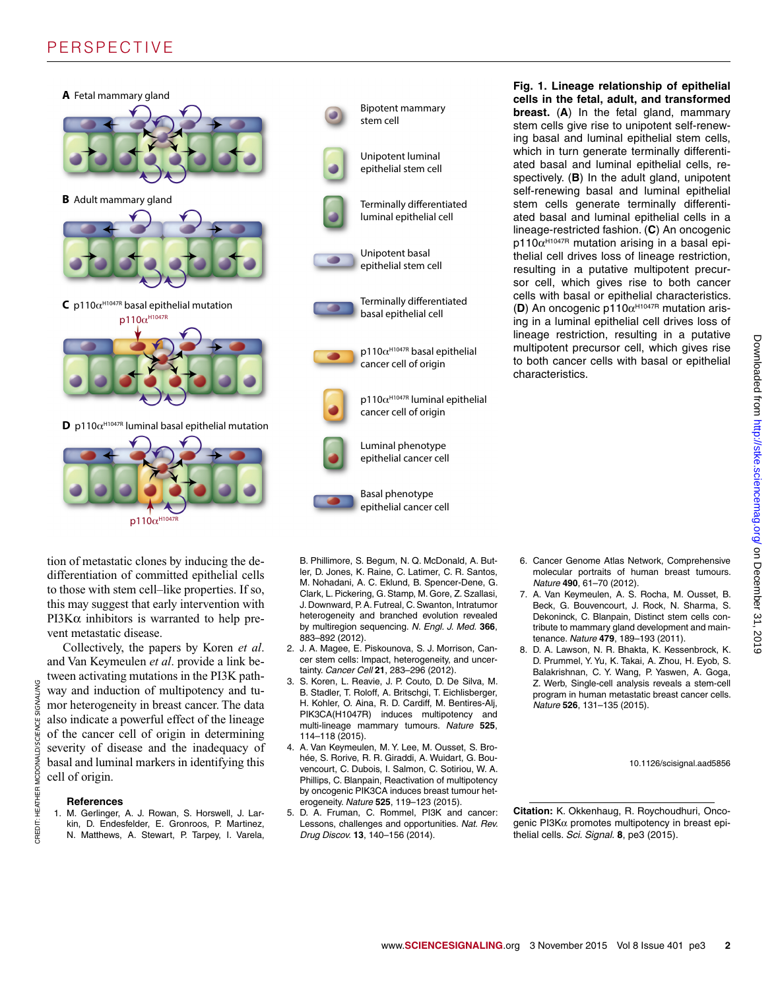## PERSPECTIVE



tion of metastatic clones by inducing the dedifferentiation of committed epithelial cells to those with stem cell–like properties. If so, this may suggest that early intervention with PI3K $α$  inhibitors is warranted to help prevent metastatic disease.

Collectively, the papers by Koren *et al*. and Van Keymeulen *et al*. provide a link between activating mutations in the PI3K pathway and induction of multipotency and tumor heterogeneity in breast cancer. The data also indicate a powerful effect of the lineage of the cancer cell of origin in determining severity of disease and the inadequacy of basal and luminal markers in identifying this cell of origin.

#### **References**

CREDIT: HEATHER MCDONALD/SCIENCE SIGNALING

CREDIT: HEATHER MCDONALD/SCIENCE SIGNALING

1. M. Gerlinger, A. J. Rowan, S. Horswell, J. Larkin, D. Endesfelder, E. Gronroos, P. Martinez, N. Matthews, A. Stewart, P. Tarpey, I. Varela,



B. Phillimore, S. Begum, N. Q. McDonald, A. Butler, D. Jones, K. Raine, C. Latimer, C. R. Santos, M. Nohadani, A. C. Eklund, B. Spencer-Dene, G. Clark, L. Pickering, G. Stamp, M. Gore, Z. Szallasi, J. Downward, P. A. Futreal, C. Swanton, Intratumor heterogeneity and branched evolution revealed by multiregion sequencing. *N. Engl. J. Med.* **366**, 883–892 (2012).

- 2. J. A. Magee, E. Piskounova, S. J. Morrison, Cancer stem cells: Impact, heterogeneity, and uncertainty. *Cancer Cell* **21**, 283–296 (2012).
- 3. S. Koren, L. Reavie, J. P. Couto, D. De Silva, M. B. Stadler, T. Roloff, A. Britschgi, T. Eichlisberger, H. Kohler, O. Aina, R. D. Cardiff, M. Bentires-Alj, PIK3CA(H1047R) induces multipotency and multi-lineage mammary tumours. *Nature* **525**, 114–118 (2015).
- 4. A. Van Keymeulen, M. Y. Lee, M. Ousset, S. Brohée, S. Rorive, R. R. Giraddi, A. Wuidart, G. Bouvencourt, C. Dubois, I. Salmon, C. Sotiriou, W. A. Phillips, C. Blanpain, Reactivation of multipotency by oncogenic PIK3CA induces breast tumour heterogeneity. *Nature* **525**, 119–123 (2015).
- 5. D. A. Fruman, C. Rommel, PI3K and cancer: Lessons, challenges and opportunities. *Nat. Rev. Drug Discov.* **13**, 140–156 (2014).

**Fig. 1. Lineage relationship of epithelial cells in the fetal, adult, and transformed breast.** (**A**) In the fetal gland, mammary stem cells give rise to unipotent self-renewing basal and luminal epithelial stem cells, which in turn generate terminally differentiated basal and luminal epithelial cells, respectively. (**B**) In the adult gland, unipotent self-renewing basal and luminal epithelial stem cells generate terminally differentiated basal and luminal epithelial cells in a lineage-restricted fashion. (**C**) An oncogenic  $p110\alpha^{\text{H1047R}}$  mutation arising in a basal epithelial cell drives loss of lineage restriction, resulting in a putative multipotent precursor cell, which gives rise to both cancer cells with basal or epithelial characteristics. (D) An oncogenic p110α<sup>H1047R</sup> mutation arising in a luminal epithelial cell drives loss of lineage restriction, resulting in a putative multipotent precursor cell, which gives rise to both cancer cells with basal or epithelial characteristics.

- 6. Cancer Genome Atlas Network, Comprehensive molecular portraits of human breast tumours. *Nature* **490**, 61–70 (2012).
- 7. A. Van Keymeulen, A. S. Rocha, M. Ousset, B. Beck, G. Bouvencourt, J. Rock, N. Sharma, S. Dekoninck, C. Blanpain, Distinct stem cells contribute to mammary gland development and maintenance. *Nature* **479**, 189–193 (2011).
- 8. D. A. Lawson, N. R. Bhakta, K. Kessenbrock, K. D. Prummel, Y. Yu, K. Takai, A. Zhou, H. Eyob, S. Balakrishnan, C. Y. Wang, P. Yaswen, A. Goga, Z. Werb, Single-cell analysis reveals a stem-cell program in human metastatic breast cancer cells. *Nature* **526**, 131–135 (2015).

10.1126/scisignal.aad5856

**Citation:** K. Okkenhaug, R. Roychoudhuri, Oncogenic PI3Kα promotes multipotency in breast epithelial cells. *Sci. Signal.* **8**, pe3 (2015).